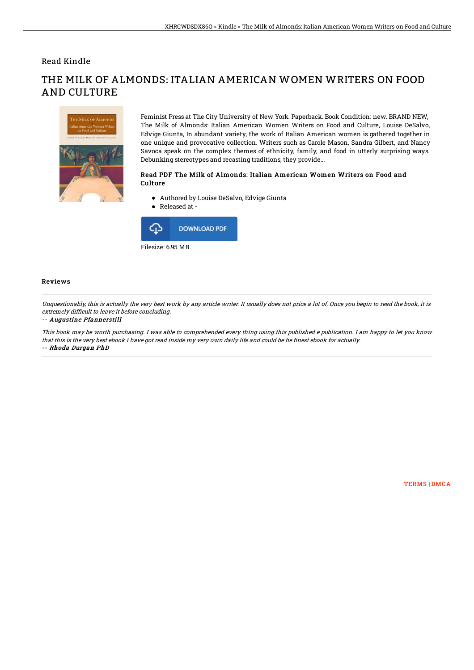## Read Kindle



THE MILK OF ALMONDS: ITALIAN AMERICAN WOMEN WRITERS ON FOOD AND CULTURE

> Feminist Press at The City University of New York. Paperback. Book Condition: new. BRAND NEW, The Milk of Almonds: Italian American Women Writers on Food and Culture, Louise DeSalvo, Edvige Giunta, In abundant variety, the work of Italian American women is gathered together in one unique and provocative collection. Writers such as Carole Mason, Sandra Gilbert, and Nancy Savoca speak on the complex themes of ethnicity, family, and food in utterly surprising ways. Debunking stereotypes and recasting traditions, they provide...

#### Read PDF The Milk of Almonds: Italian American Women Writers on Food and **Culture**

- Authored by Louise DeSalvo, Edvige Giunta
- Released at -



### Reviews

Unquestionably, this is actually the very best work by any article writer. It usually does not price <sup>a</sup> lot of. Once you begin to read the book, it is extremely difficult to leave it before concluding.

#### -- Augustine Pfannerstill

This book may be worth purchasing. I was able to comprehended every thing using this published <sup>e</sup> publication. I am happy to let you know that this is the very best ebook i have got read inside my very own daily life and could be he finest ebook for actually. -- Rhoda Durgan PhD